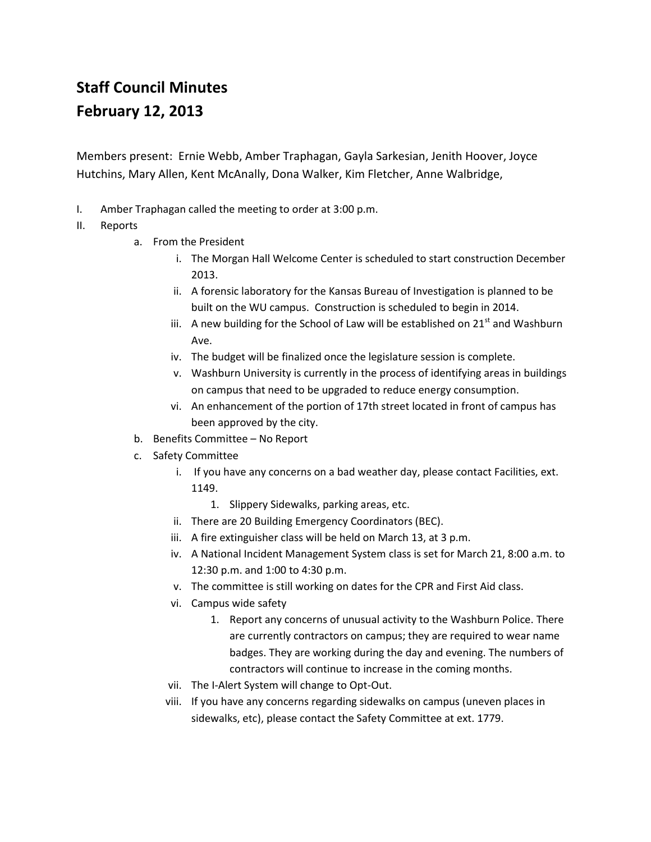## **Staff Council Minutes February 12, 2013**

Members present: Ernie Webb, Amber Traphagan, Gayla Sarkesian, Jenith Hoover, Joyce Hutchins, Mary Allen, Kent McAnally, Dona Walker, Kim Fletcher, Anne Walbridge,

- I. Amber Traphagan called the meeting to order at 3:00 p.m.
- II. Reports
	- a. From the President
		- i. The Morgan Hall Welcome Center is scheduled to start construction December 2013.
		- ii. A forensic laboratory for the Kansas Bureau of Investigation is planned to be built on the WU campus. Construction is scheduled to begin in 2014.
		- iii. A new building for the School of Law will be established on  $21<sup>st</sup>$  and Washburn Ave.
		- iv. The budget will be finalized once the legislature session is complete.
		- v. Washburn University is currently in the process of identifying areas in buildings on campus that need to be upgraded to reduce energy consumption.
		- vi. An enhancement of the portion of 17th street located in front of campus has been approved by the city.
	- b. Benefits Committee No Report
	- c. Safety Committee
		- i. If you have any concerns on a bad weather day, please contact Facilities, ext. 1149.
			- 1. Slippery Sidewalks, parking areas, etc.
		- ii. There are 20 Building Emergency Coordinators (BEC).
		- iii. A fire extinguisher class will be held on March 13, at 3 p.m.
		- iv. A National Incident Management System class is set for March 21, 8:00 a.m. to 12:30 p.m. and 1:00 to 4:30 p.m.
		- v. The committee is still working on dates for the CPR and First Aid class.
		- vi. Campus wide safety
			- 1. Report any concerns of unusual activity to the Washburn Police. There are currently contractors on campus; they are required to wear name badges. They are working during the day and evening. The numbers of contractors will continue to increase in the coming months.
		- vii. The I-Alert System will change to Opt-Out.
		- viii. If you have any concerns regarding sidewalks on campus (uneven places in sidewalks, etc), please contact the Safety Committee at ext. 1779.